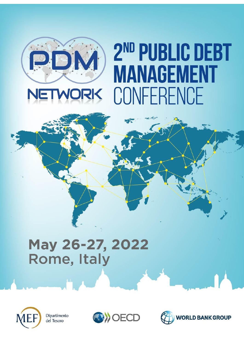

# 2<sup>ND</sup> PUBLIC DEBT **MANAGEMENT** CONFERENCE

## May 26-27, 2022 Rome, Italy



Dipartimento del Tesoro



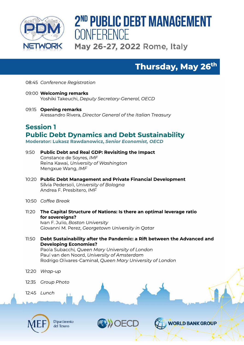

## Thursday, May 26th

08:45 Conference Registration

- 09:00 Welcoming remarks Yoshiki Takeuchi, Deputy Secretary-General, OECD
- 09:15 Opening remarks Alessandro Rivera, Director General of the Italian Treasury

### **Session 1 Public Debt Dynamics and Debt Sustainability**

Moderator: Lukasz Rawdanowicz, Senior Economist, OECD

- $9:50$ **Public Debt and Real GDP: Revisiting the Impact** Constance de Soyres, IMF Reina Kawai, University of Washington Menaxue Wana, IMF
- 10:20 Public Debt Management and Private Financial Development Silvia Pedersoli, University of Bologna Andrea F. Presbitero, IMF
- 10:50 Coffee Break
- $11:20$ The Capital Structure of Nations: Is there an optimal leverage ratio for sovereigns?

Ivan F. Julio, Boston University Giovanni M. Perez, Georgetown University in Qatar

11:50 Debt Sustainability after the Pandemic: a Rift between the Advanced and **Developing Economies?** 

Paola Subacchi, Queen Mary University of London Paul van den Noord, University of Amsterdam Rodrigo Olivares-Caminal, Queen Mary University of London

- 12:20 Wrap-up
- 12:35 Group Photo
- 12:45 Lunch



Dipartimento del Tesoro

OECD

**VORLD BANK GROUP**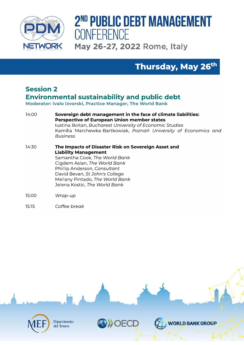

## Thursday, May 26th

## **Session 2 Environmental sustainability and public debt**

Moderator: Ivalo Izvorski, Practice Manager, The World Bank

- 14:00 Sovereign debt management in the face of climate liabilities: **Perspective of European Union member states** Iustina Boitan, Bucharest University of Economic Studies Kamilla Marchewka-Bartkowiak, Poznań University of Economics and **Business**
- 14:30 The Impacts of Disaster Risk on Sovereign Asset and **Liability Management** Samantha Cook, The World Bank Cigdem Aslan, The World Bank Phillip Anderson, Consultant David Bevan, St John's College Mellany Pintado, The World Bank Jelena Kostic. The World Bank
- 15:00 Wrap-up
- $15:15$ Coffee break

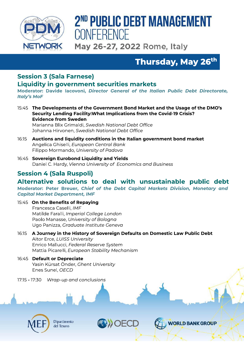

## 2<sup>ND</sup> PUBLIC DEBT MANAGEMENT CONFERENCE

May 26-27, 2022 Rome, Italy

Thursday, May 26<sup>th</sup>

## **Session 3 (Sala Farnese)**

#### **Liquidity in government securities markets**

Moderator: Davide Iacovoni, Director General of the Italian Public Debt Directorate, **Italv's MoF** 

15:45 The Developments of the Government Bond Market and the Usage of the DMO's Security Lending Facility: What Implications from the Covid-19 Crisis? **Evidence from Sweden** Marianna Blix Grimaldi, Swedish National Debt Office Johanna Hirvonen, Swedish National Debt Office

- Auctions and liquidity conditions in the Italian government bond market  $16:15$ Angelica Ghiselli, European Central Bank Filippo Mormando, University of Padova
- 16:45 Sovereign Eurobond Liquidity and Yields Daniel C. Hardy, Vienna University of Economics and Business

## **Session 4 (Sala Ruspoli)**

#### Alternative solutions to deal with unsustainable public debt

Moderator: Peter Breuer, Chief of the Debt Capital Markets Division, Monetary and **Capital Market Department, IMF** 

15:45 On the Benefits of Repaying Francesca Caselli, IMF Matilde Faralli, Imperial College London Paolo Manasse, University of Bologna Ugo Panizza, Graduate Institute Geneva

- 16:15 A Journey in the History of Sovereign Defaults on Domestic Law Public Debt Aitor Erce, LUISS University Enrico Mallucci, Federal Reserve System Mattia Picarelli, European Stability Mechanism
- 16:45 Default or Depreciate Yasin Kürsat Önder, Ghent University Enes Sunel, OECD
- Wrap-up and conclusions 17:15 - 17:30



Dipartimento del Tesoro

OECD

**VORLD BANK GROUP**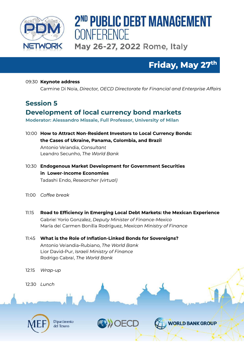

## Friday, May 27th

#### 09:30 Keynote address Carmine Di Noia, Director, OECD Directorate for Financial and Enterprise Affairs

#### **Session 5**

## Development of local currency bond markets

Moderator: Alessandro Missale, Full Professor, University of Milan

10:00 How to Attract Non-Resident Investors to Local Currency Bonds: the Cases of Ukraine, Panama, Colombia, and Brazil

Antonio Velandia, Consultant Leandro Secunho, The World Bank

- 10:30 Endogenous Market Development for Government Securities in Lower-Income Economies Tadashi Endo, Researcher (virtual)
- 11:00 Coffee break
- $11:15$ Road to Efficiency in Emerging Local Debt Markets: the Mexican Experience Gabriel Yorio Gonzalez, Deputy Minister of Finance-Mexico María del Carmen Bonilla Rodríguez, Mexican Ministry of Finance
- 11:45 What is the Role of Inflation-Linked Bonds for Sovereigns? Antonio Velandia-Rubiano, The World Bank Lior David-Pur, Israeli Ministry of Finance Rodrigo Cabral, The World Bank

 $12:15$ Wrap-up

12:30 Lunch



Dipartimento del Tesoro

OECD

**VORLD BANK GROUP**